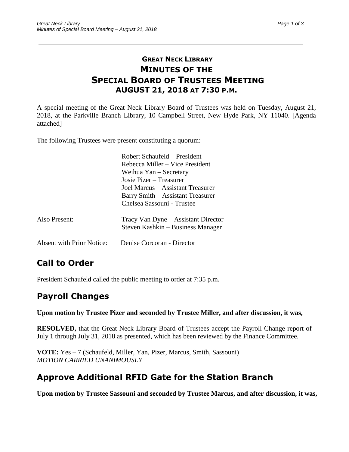#### **GREAT NECK LIBRARY MINUTES OF THE SPECIAL BOARD OF TRUSTEES MEETING AUGUST 21, 2018 AT 7:30 P.M.**

\_\_\_\_\_\_\_\_\_\_\_\_\_\_\_\_\_\_\_\_\_\_\_\_\_\_\_\_\_\_\_\_\_\_\_\_\_\_\_\_\_\_\_\_\_\_\_\_\_\_\_\_\_\_\_\_\_\_\_\_\_\_\_\_\_\_\_\_\_\_\_\_\_\_\_\_\_\_\_\_\_\_\_\_\_\_\_\_\_\_\_\_\_

A special meeting of the Great Neck Library Board of Trustees was held on Tuesday, August 21, 2018, at the Parkville Branch Library, 10 Campbell Street, New Hyde Park, NY 11040. [Agenda attached]

The following Trustees were present constituting a quorum:

|                           | Robert Schaufeld – President<br>Rebecca Miller – Vice President                                                                 |
|---------------------------|---------------------------------------------------------------------------------------------------------------------------------|
|                           | Weihua Yan – Secretary                                                                                                          |
|                           | Josie Pizer – Treasurer<br>Joel Marcus – Assistant Treasurer<br>Barry Smith – Assistant Treasurer<br>Chelsea Sassouni - Trustee |
| Also Present:             | Tracy Van Dyne - Assistant Director<br>Steven Kashkin – Business Manager                                                        |
| Absent with Prior Notice: | Denise Corcoran - Director                                                                                                      |

# **Call to Order**

President Schaufeld called the public meeting to order at 7:35 p.m.

## **Payroll Changes**

**Upon motion by Trustee Pizer and seconded by Trustee Miller, and after discussion, it was,**

**RESOLVED,** that the Great Neck Library Board of Trustees accept the Payroll Change report of July 1 through July 31, 2018 as presented, which has been reviewed by the Finance Committee.

**VOTE:** Yes – 7 (Schaufeld, Miller, Yan, Pizer, Marcus, Smith, Sassouni) *MOTION CARRIED UNANIMOUSLY*

## **Approve Additional RFID Gate for the Station Branch**

**Upon motion by Trustee Sassouni and seconded by Trustee Marcus, and after discussion, it was,**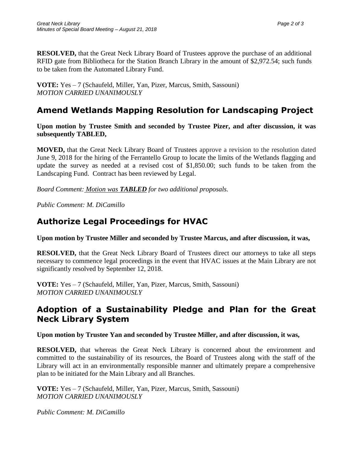**RESOLVED,** that the Great Neck Library Board of Trustees approve the purchase of an additional RFID gate from Bibliotheca for the Station Branch Library in the amount of \$2,972.54; such funds to be taken from the Automated Library Fund.

**VOTE:** Yes – 7 (Schaufeld, Miller, Yan, Pizer, Marcus, Smith, Sassouni) *MOTION CARRIED UNANIMOUSLY*

# **Amend Wetlands Mapping Resolution for Landscaping Project**

**Upon motion by Trustee Smith and seconded by Trustee Pizer, and after discussion, it was subsequently TABLED,**

**MOVED,** that the Great Neck Library Board of Trustees approve a revision to the resolution dated June 9, 2018 for the hiring of the Ferrantello Group to locate the limits of the Wetlands flagging and update the survey as needed at a revised cost of \$1,850.00; such funds to be taken from the Landscaping Fund. Contract has been reviewed by Legal.

*Board Comment: Motion was TABLED for two additional proposals.*

*Public Comment: M. DiCamillo* 

## **Authorize Legal Proceedings for HVAC**

**Upon motion by Trustee Miller and seconded by Trustee Marcus, and after discussion, it was,**

**RESOLVED,** that the Great Neck Library Board of Trustees direct our attorneys to take all steps necessary to commence legal proceedings in the event that HVAC issues at the Main Library are not significantly resolved by September 12, 2018.

**VOTE:** Yes – 7 (Schaufeld, Miller, Yan, Pizer, Marcus, Smith, Sassouni) *MOTION CARRIED UNANIMOUSLY*

#### **Adoption of a Sustainability Pledge and Plan for the Great Neck Library System**

**Upon motion by Trustee Yan and seconded by Trustee Miller, and after discussion, it was,**

**RESOLVED,** that whereas the Great Neck Library is concerned about the environment and committed to the sustainability of its resources, the Board of Trustees along with the staff of the Library will act in an environmentally responsible manner and ultimately prepare a comprehensive plan to be initiated for the Main Library and all Branches.

**VOTE:** Yes – 7 (Schaufeld, Miller, Yan, Pizer, Marcus, Smith, Sassouni) *MOTION CARRIED UNANIMOUSLY*

*Public Comment: M. DiCamillo*